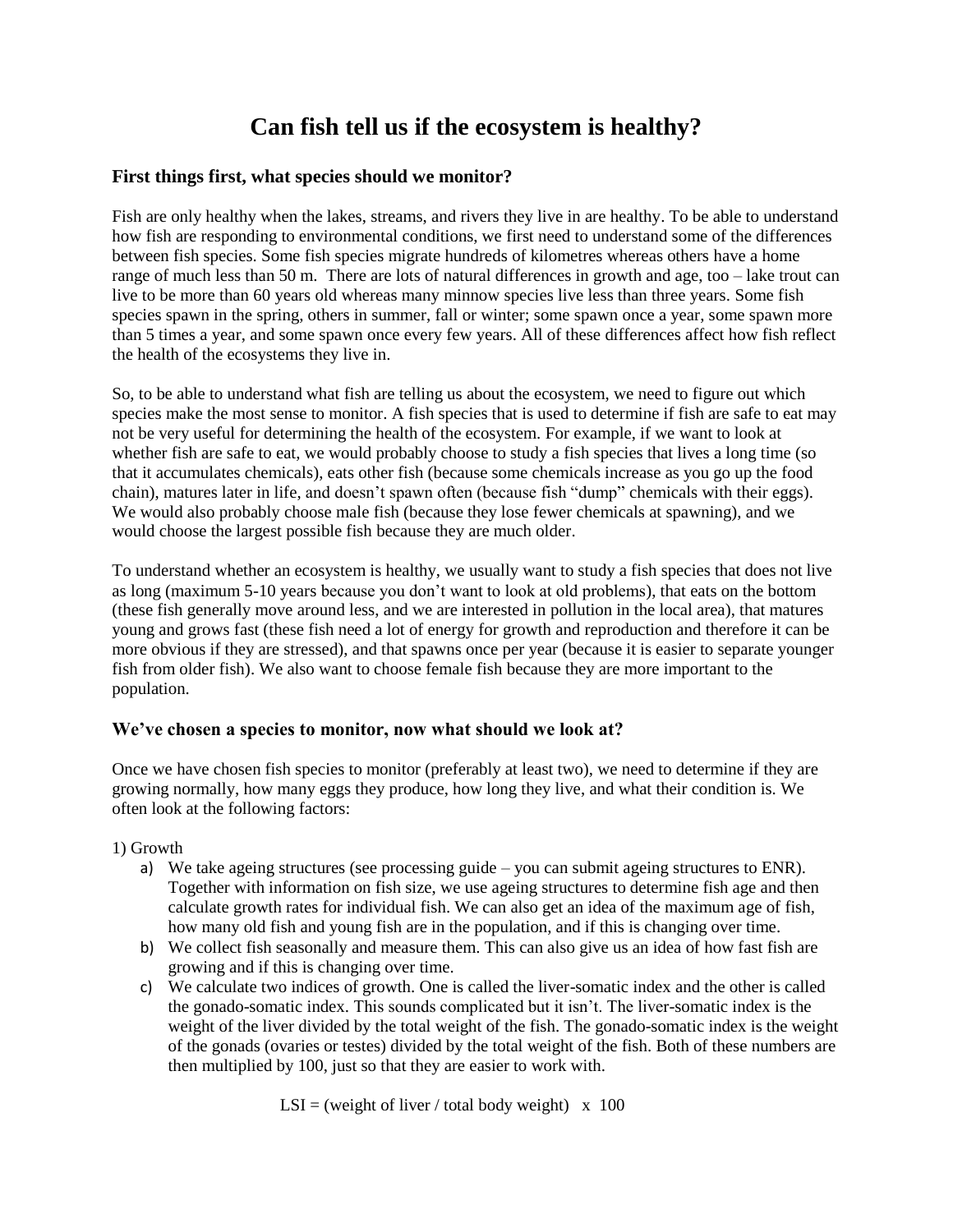# **Can fish tell us if the ecosystem is healthy?**

## **First things first, what species should we monitor?**

Fish are only healthy when the lakes, streams, and rivers they live in are healthy. To be able to understand how fish are responding to environmental conditions, we first need to understand some of the differences between fish species. Some fish species migrate hundreds of kilometres whereas others have a home range of much less than 50 m. There are lots of natural differences in growth and age, too – lake trout can live to be more than 60 years old whereas many minnow species live less than three years. Some fish species spawn in the spring, others in summer, fall or winter; some spawn once a year, some spawn more than 5 times a year, and some spawn once every few years. All of these differences affect how fish reflect the health of the ecosystems they live in.

So, to be able to understand what fish are telling us about the ecosystem, we need to figure out which species make the most sense to monitor. A fish species that is used to determine if fish are safe to eat may not be very useful for determining the health of the ecosystem. For example, if we want to look at whether fish are safe to eat, we would probably choose to study a fish species that lives a long time (so that it accumulates chemicals), eats other fish (because some chemicals increase as you go up the food chain), matures later in life, and doesn't spawn often (because fish "dump" chemicals with their eggs). We would also probably choose male fish (because they lose fewer chemicals at spawning), and we would choose the largest possible fish because they are much older.

To understand whether an ecosystem is healthy, we usually want to study a fish species that does not live as long (maximum 5-10 years because you don't want to look at old problems), that eats on the bottom (these fish generally move around less, and we are interested in pollution in the local area), that matures young and grows fast (these fish need a lot of energy for growth and reproduction and therefore it can be more obvious if they are stressed), and that spawns once per year (because it is easier to separate younger fish from older fish). We also want to choose female fish because they are more important to the population.

### **We've chosen a species to monitor, now what should we look at?**

Once we have chosen fish species to monitor (preferably at least two), we need to determine if they are growing normally, how many eggs they produce, how long they live, and what their condition is. We often look at the following factors:

### 1) Growth

- a) We take ageing structures (see processing guide you can submit ageing structures to ENR). Together with information on fish size, we use ageing structures to determine fish age and then calculate growth rates for individual fish. We can also get an idea of the maximum age of fish, how many old fish and young fish are in the population, and if this is changing over time.
- b) We collect fish seasonally and measure them. This can also give us an idea of how fast fish are growing and if this is changing over time.
- c) We calculate two indices of growth. One is called the liver-somatic index and the other is called the gonado-somatic index. This sounds complicated but it isn't. The liver-somatic index is the weight of the liver divided by the total weight of the fish. The gonado-somatic index is the weight of the gonads (ovaries or testes) divided by the total weight of the fish. Both of these numbers are then multiplied by 100, just so that they are easier to work with.

 $LSI = (weight of liver / total body weight) \times 100$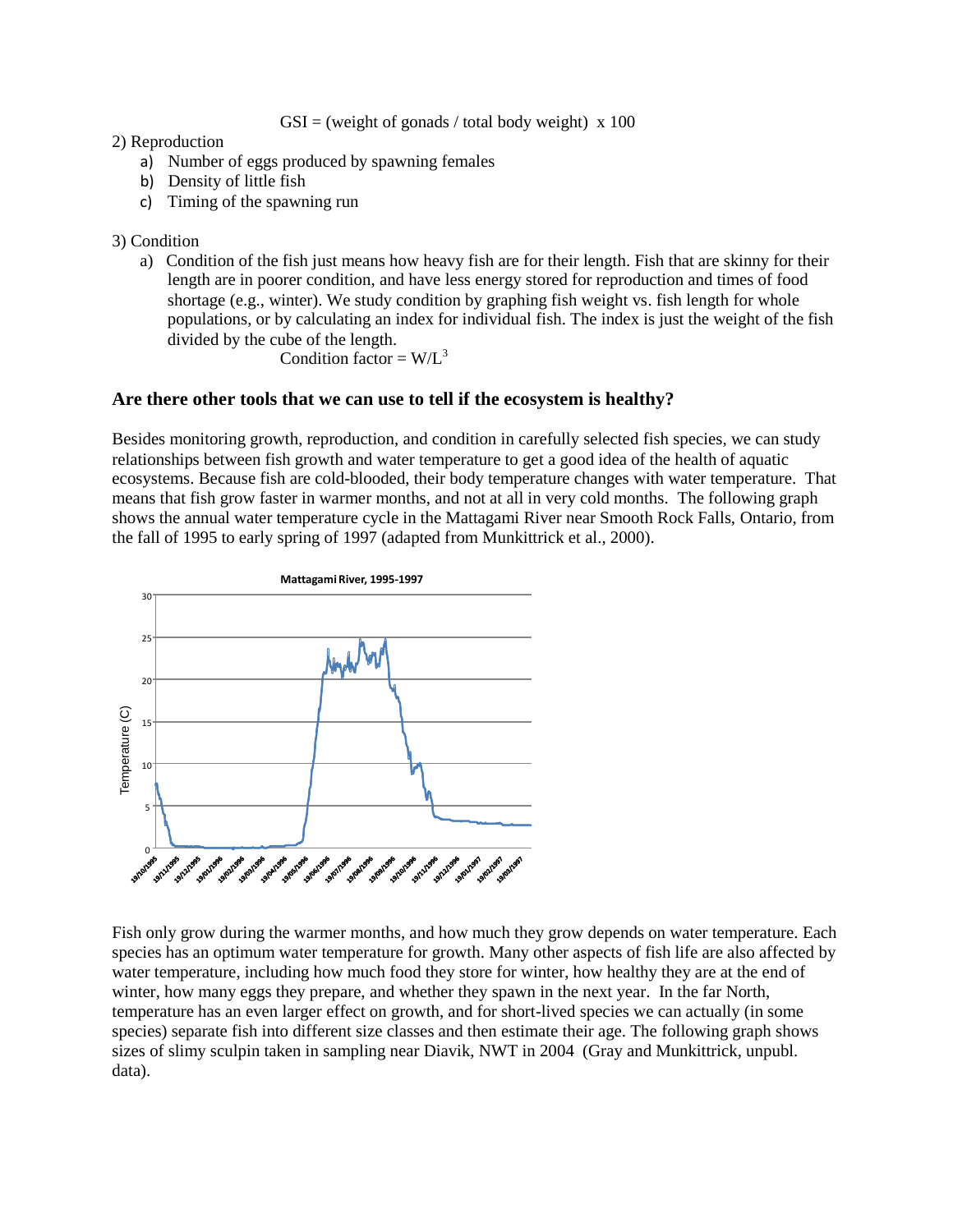$GSI =$  (weight of gonads / total body weight) x 100

### 2) Reproduction

- a) Number of eggs produced by spawning females
- b) Density of little fish
- c) Timing of the spawning run

3) Condition

a) Condition of the fish just means how heavy fish are for their length. Fish that are skinny for their length are in poorer condition, and have less energy stored for reproduction and times of food shortage (e.g., winter). We study condition by graphing fish weight vs. fish length for whole populations, or by calculating an index for individual fish. The index is just the weight of the fish divided by the cube of the length.

Condition factor =  $W/L^3$ 

## **Are there other tools that we can use to tell if the ecosystem is healthy?**

Besides monitoring growth, reproduction, and condition in carefully selected fish species, we can study relationships between fish growth and water temperature to get a good idea of the health of aquatic ecosystems. Because fish are cold-blooded, their body temperature changes with water temperature. That means that fish grow faster in warmer months, and not at all in very cold months. The following graph shows the annual water temperature cycle in the Mattagami River near Smooth Rock Falls, Ontario, from the fall of 1995 to early spring of 1997 (adapted from Munkittrick et al., 2000).



Fish only grow during the warmer months, and how much they grow depends on water temperature. Each species has an optimum water temperature for growth. Many other aspects of fish life are also affected by water temperature, including how much food they store for winter, how healthy they are at the end of winter, how many eggs they prepare, and whether they spawn in the next year. In the far North, temperature has an even larger effect on growth, and for short-lived species we can actually (in some species) separate fish into different size classes and then estimate their age. The following graph shows sizes of slimy sculpin taken in sampling near Diavik, NWT in 2004 (Gray and Munkittrick, unpubl. data).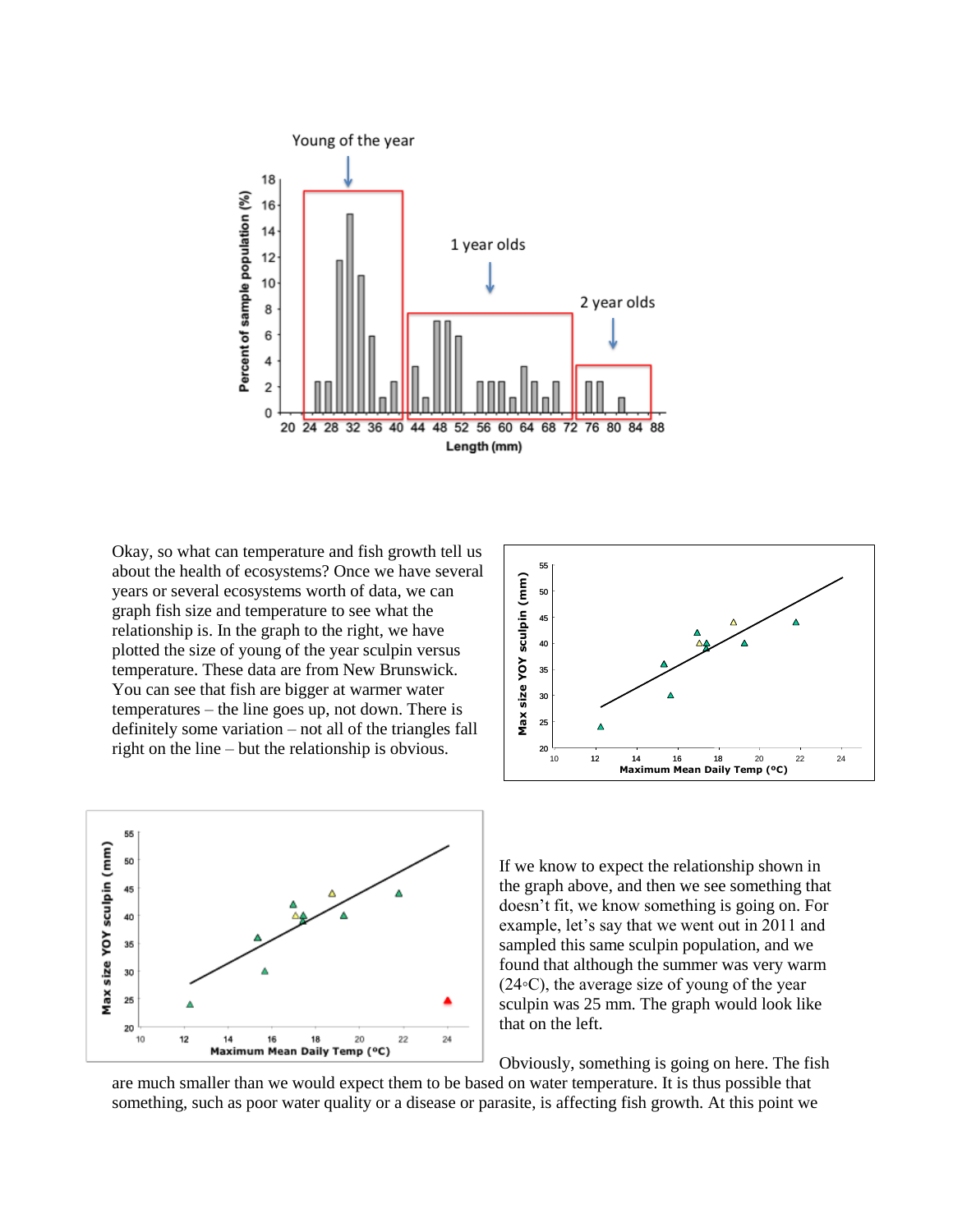

Okay, so what can temperature and fish growth tell us about the health of ecosystems? Once we have several years or several ecosystems worth of data, we can graph fish size and temperature to see what the relationship is. In the graph to the right, we have plotted the size of young of the year sculpin versus temperature. These data are from New Brunswick. You can see that fish are bigger at warmer water temperatures – the line goes up, not down. There is definitely some variation – not all of the triangles fall right on the line – but the relationship is obvious.





If we know to expect the relationship shown in the graph above, and then we see something that doesn't fit, we know something is going on. For example, let's say that we went out in 2011 and sampled this same sculpin population, and we found that although the summer was very warm (24◦C), the average size of young of the year sculpin was 25 mm. The graph would look like that on the left.

Obviously, something is going on here. The fish

are much smaller than we would expect them to be based on water temperature. It is thus possible that something, such as poor water quality or a disease or parasite, is affecting fish growth. At this point we